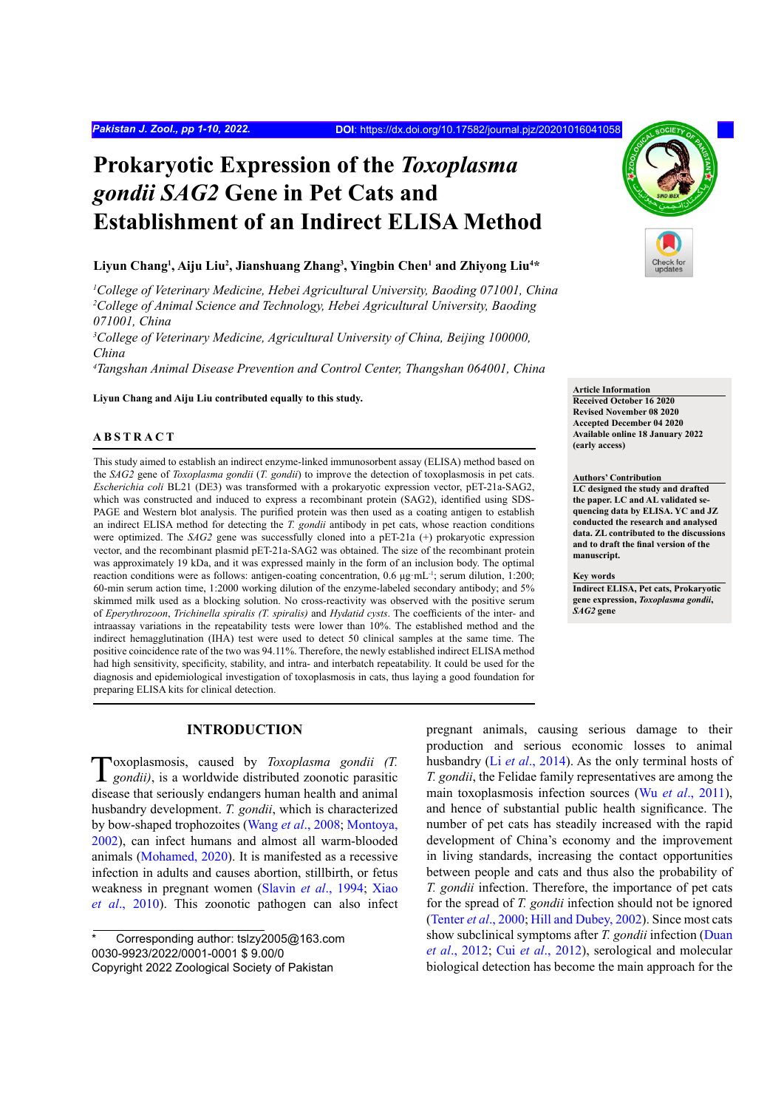# **Prokaryotic Expression of the** *Toxoplasma gondii SAG2* **Gene in Pet Cats and Establishment of an Indirect ELISA Method**

## Liyun Chang<sup>1</sup>, Aiju Liu<sup>2</sup>, Jianshuang Zhang<sup>3</sup>, Yingbin Chen<sup>1</sup> and Zhiyong Liu<sup>4</sup>\*

*1 College of Veterinary Medicine, Hebei Agricultural University, Baoding 071001, China 2 College of Animal Science and Technology, Hebei Agricultural University, Baoding 071001, China*

<sup>3</sup> College of Veterinary Medicine, Agricultural University of China, Beijing 100000, *China*

*4 Tangshan Animal Disease Prevention and Control Center, Thangshan 064001, China*

**Liyun Chang and Aiju Liu contributed equally to this study.**

# **ABSTRACT**

This study aimed to establish an indirect enzyme-linked immunosorbent assay (ELISA) method based on the *SAG2* gene of *Toxoplasma gondii* (*T. gondii*) to improve the detection of toxoplasmosis in pet cats. *Escherichia coli* BL21 (DE3) was transformed with a prokaryotic expression vector, pET-21a-SAG2, which was constructed and induced to express a recombinant protein (SAG2), identified using SDS-PAGE and Western blot analysis. The purified protein was then used as a coating antigen to establish an indirect ELISA method for detecting the *T. gondii* antibody in pet cats, whose reaction conditions were optimized. The *SAG2* gene was successfully cloned into a pET-21a (+) prokaryotic expression vector, and the recombinant plasmid pET-21a-SAG2 was obtained. The size of the recombinant protein was approximately 19 kDa, and it was expressed mainly in the form of an inclusion body. The optimal reaction conditions were as follows: antigen-coating concentration, 0.6 μg·mL-1; serum dilution, 1:200; 60-min serum action time, 1:2000 working dilution of the enzyme-labeled secondary antibody; and 5% skimmed milk used as a blocking solution. No cross-reactivity was observed with the positive serum of *Eperythrozoon*, *Trichinella spiralis (T. spiralis)* and *Hydatid cysts*. The coefficients of the inter- and intraassay variations in the repeatability tests were lower than 10%. The established method and the indirect hemagglutination (IHA) test were used to detect 50 clinical samples at the same time. The positive coincidence rate of the two was 94.11%. Therefore, the newly established indirect ELISA method had high sensitivity, specificity, stability, and intra- and interbatch repeatability. It could be used for the diagnosis and epidemiological investigation of toxoplasmosis in cats, thus laying a good foundation for preparing ELISA kits for clinical detection.

# **INTRODUCTION**

Toxoplasmosis, caused by *Toxoplasma gondii (T. gondii)*, is a worldwide distributed zoonotic parasitic disease that seriously endangers human health and animal husbandry development. *T. gondii*, which is characterized by bow-shaped trophozoites (Wang *et al*[., 2008](#page-8-0); [Montoya,](#page-8-1) [2002\)](#page-8-1), can infect humans and almost all warm-blooded animals [\(Mohamed, 2020\)](#page-8-2). It is manifested as a recessive infection in adults and causes abortion, stillbirth, or fetus weakness in pregnant women (Slavin *et al*[., 1994](#page-8-3); [Xiao](#page-8-4) *et al*[., 2010](#page-8-4)). This zoonotic pathogen can also infect

pregnant animals, causing serious damage to their production and serious economic losses to animal husbandry (Li *et al*[., 2014\)](#page-8-5). As the only terminal hosts of *T. gondii*, the Felidae family representatives are among the main toxoplasmosis infection sources (Wu *et al*[., 2011\)](#page-8-6), and hence of substantial public health significance. The number of pet cats has steadily increased with the rapid development of China's economy and the improvement in living standards, increasing the contact opportunities between people and cats and thus also the probability of *T. gondii* infection. Therefore, the importance of pet cats for the spread of *T. gondii* infection should not be ignored [\(Tenter](#page-8-7) *et al*., 2000; [Hill and Dubey, 2002\)](#page-8-8). Since most cats show subclinical symptoms after *T. gondii* infection ([Duan](#page-8-9) *et al*[., 2012;](#page-8-9) Cui *et al*[., 2012\)](#page-8-10), serological and molecular biological detection has become the main approach for the



**Article Information**

**Received October 16 2020 Revised November 08 2020 Accepted December 04 2020 Available online 18 January 2022 (early access)**

**Authors' Contribution**

**LC designed the study and drafted the paper. LC and AL validated sequencing data by ELISA. YC and JZ conducted the research and analysed data. ZL contributed to the discussions and to draft the final version of the manuscript.**

#### **Key words**

**Indirect ELISA, Pet cats, Prokaryotic gene expression,** *Toxoplasma gondii***,**  *SAG2* **gene**

Corresponding author: tslzy2005@163.com 0030-9923/2022/0001-0001 \$ 9.00/0 Copyright 2022 Zoological Society of Pakistan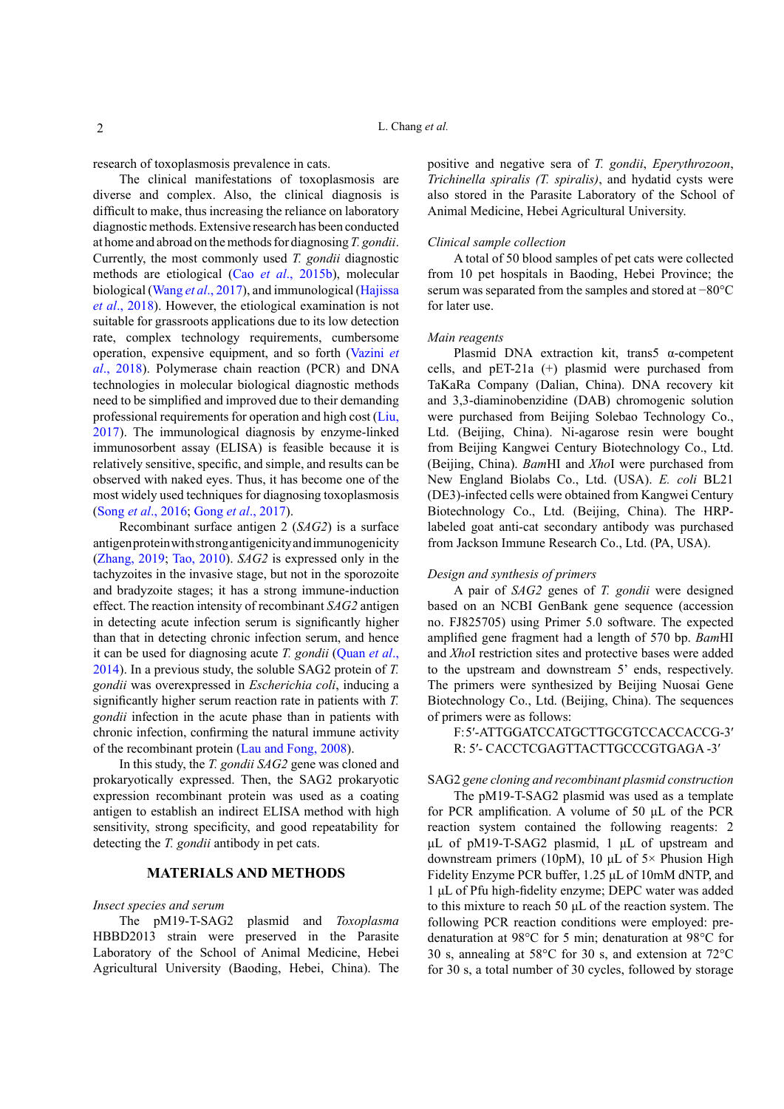research of toxoplasmosis prevalence in cats.

The clinical manifestations of toxoplasmosis are diverse and complex. Also, the clinical diagnosis is difficult to make, thus increasing the reliance on laboratory diagnostic methods. Extensive research has been conducted at home and abroad on the methods for diagnosing *T. gondii*. Currently, the most commonly used *T. gondii* diagnostic methods are etiological (Cao *et al*[., 2015b](#page-7-0)), molecular biological (Wang *et al*[., 2017](#page-8-11)), and immunological ([Hajissa](#page-8-12) *et al*[., 2018\)](#page-8-12). However, the etiological examination is not suitable for grassroots applications due to its low detection rate, complex technology requirements, cumbersome operation, expensive equipment, and so forth [\(Vazini](#page-8-13) *et al*[., 2018](#page-8-13)). Polymerase chain reaction (PCR) and DNA technologies in molecular biological diagnostic methods need to be simplified and improved due to their demanding professional requirements for operation and high cost ([Liu,](#page-8-14) [2017\)](#page-8-14). The immunological diagnosis by enzyme-linked immunosorbent assay (ELISA) is feasible because it is relatively sensitive, specific, and simple, and results can be observed with naked eyes. Thus, it has become one of the most widely used techniques for diagnosing toxoplasmosis (Song *et al*[., 2016](#page-8-15); Gong *et al*[., 2017](#page-8-16)).

Recombinant surface antigen 2 (*SAG2*) is a surface antigen protein with strong antigenicity and immunogenicity [\(Zhang, 2019](#page-9-0); [Tao, 2010](#page-8-17)). *SAG2* is expressed only in the tachyzoites in the invasive stage, but not in the sporozoite and bradyzoite stages; it has a strong immune-induction effect. The reaction intensity of recombinant *SAG2* antigen in detecting acute infection serum is significantly higher than that in detecting chronic infection serum, and hence it can be used for diagnosing acute *T. gondii* ([Quan](#page-8-18) *et al*., [2014\)](#page-8-18). In a previous study, the soluble SAG2 protein of *T. gondii* was overexpressed in *Escherichia coli*, inducing a significantly higher serum reaction rate in patients with *T. gondii* infection in the acute phase than in patients with chronic infection, confirming the natural immune activity of the recombinant protein ([Lau and Fong, 2008](#page-8-19)).

In this study, the *T. gondii SAG2* gene was cloned and prokaryotically expressed. Then, the SAG2 prokaryotic expression recombinant protein was used as a coating antigen to establish an indirect ELISA method with high sensitivity, strong specificity, and good repeatability for detecting the *T. gondii* antibody in pet cats.

# **MATERIALS AND METHODS**

## *Insect species and serum*

The pM19-T-SAG2 plasmid and *Toxoplasma* HBBD2013 strain were preserved in the Parasite Laboratory of the School of Animal Medicine, Hebei Agricultural University (Baoding, Hebei, China). The positive and negative sera of *T. gondii*, *Eperythrozoon*, *Trichinella spiralis (T. spiralis)*, and hydatid cysts were also stored in the Parasite Laboratory of the School of Animal Medicine, Hebei Agricultural University.

## *Clinical sample collection*

A total of 50 blood samples of pet cats were collected from 10 pet hospitals in Baoding, Hebei Province; the serum was separated from the samples and stored at −80°C for later use.

## *Main reagents*

Plasmid DNA extraction kit, trans5 α-competent cells, and pET-21a (+) plasmid were purchased from TaKaRa Company (Dalian, China). DNA recovery kit and 3,3-diaminobenzidine (DAB) chromogenic solution were purchased from Beijing Solebao Technology Co., Ltd. (Beijing, China). Ni-agarose resin were bought from Beijing Kangwei Century Biotechnology Co., Ltd. (Beijing, China). *Bam*HI and *Xho*I were purchased from New England Biolabs Co., Ltd. (USA). *E. coli* BL21 (DE3)-infected cells were obtained from Kangwei Century Biotechnology Co., Ltd. (Beijing, China). The HRPlabeled goat anti-cat secondary antibody was purchased from Jackson Immune Research Co., Ltd. (PA, USA).

# *Design and synthesis of primers*

A pair of *SAG2* genes of *T. gondii* were designed based on an NCBI GenBank gene sequence (accession no. FJ825705) using Primer 5.0 software. The expected amplified gene fragment had a length of 570 bp. *Bam*HI and *Xho*I restriction sites and protective bases were added to the upstream and downstream 5' ends, respectively. The primers were synthesized by Beijing Nuosai Gene Biotechnology Co., Ltd. (Beijing, China). The sequences of primers were as follows:

F: 5′- ATTGGATCCATGCTTGCGTCCACCACCG-3′ R: 5′- CACCTCGAGTTACTTGCCCGTGAGA -3′

# SAG2 *gene cloning and recombinant plasmid construction*

The pM19-T-SAG2 plasmid was used as a template for PCR amplification. A volume of 50 μL of the PCR reaction system contained the following reagents: 2 μL of pM19-T-SAG2 plasmid, 1 μL of upstream and downstream primers (10pM), 10 μL of 5× Phusion High Fidelity Enzyme PCR buffer, 1.25 μL of 10mM dNTP, and 1 μL of Pfu high-fidelity enzyme; DEPC water was added to this mixture to reach 50 μL of the reaction system. The following PCR reaction conditions were employed: predenaturation at 98°C for 5 min; denaturation at 98°C for 30 s, annealing at 58°C for 30 s, and extension at 72°C for 30 s, a total number of 30 cycles, followed by storage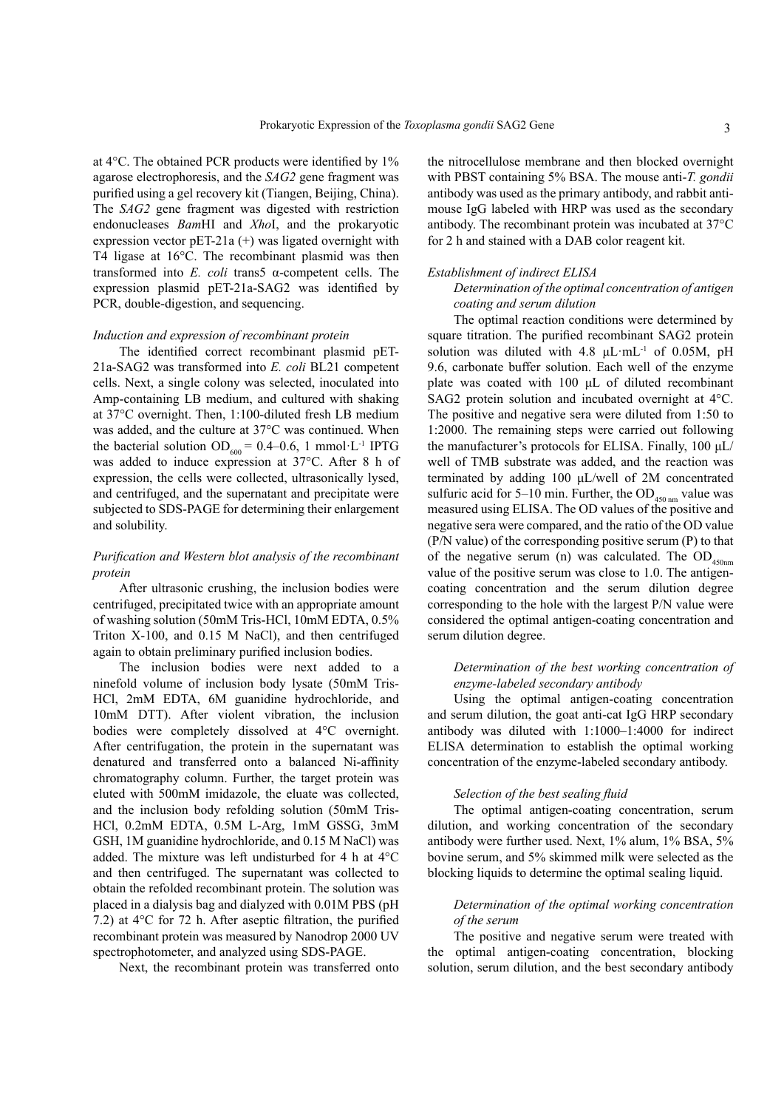at 4°C. The obtained PCR products were identified by 1% agarose electrophoresis, and the *SAG2* gene fragment was purified using a gel recovery kit (Tiangen, Beijing, China). The *SAG2* gene fragment was digested with restriction endonucleases *Bam*HI and *Xho*I, and the prokaryotic expression vector  $pET-21a$  (+) was ligated overnight with T4 ligase at 16°C. The recombinant plasmid was then transformed into *E. coli* trans5 α-competent cells. The expression plasmid pET-21a-SAG2 was identified by PCR, double-digestion, and sequencing.

#### *Induction and expression of recombinant protein*

The identified correct recombinant plasmid pET-21a-SAG2 was transformed into *E. coli* BL21 competent cells. Next, a single colony was selected, inoculated into Amp-containing LB medium, and cultured with shaking at 37°C overnight. Then, 1:100-diluted fresh LB medium was added, and the culture at 37°C was continued. When the bacterial solution  $OD_{600} = 0.4{\text -}0.6$ , 1 mmol·L<sup>-1</sup> IPTG was added to induce expression at 37°C. After 8 h of expression, the cells were collected, ultrasonically lysed, and centrifuged, and the supernatant and precipitate were subjected to SDS-PAGE for determining their enlargement and solubility.

# *Purification and Western blot analysis of the recombinant protein*

After ultrasonic crushing, the inclusion bodies were centrifuged, precipitated twice with an appropriate amount of washing solution (50mM Tris-HCl, 10mM EDTA, 0.5% Triton X-100, and 0.15 M NaCl), and then centrifuged again to obtain preliminary purified inclusion bodies.

The inclusion bodies were next added to a ninefold volume of inclusion body lysate (50mM Tris-HCl, 2mM EDTA, 6M guanidine hydrochloride, and 10mM DTT). After violent vibration, the inclusion bodies were completely dissolved at 4°C overnight. After centrifugation, the protein in the supernatant was denatured and transferred onto a balanced Ni-affinity chromatography column. Further, the target protein was eluted with 500mM imidazole, the eluate was collected, and the inclusion body refolding solution (50mM Tris-HCl, 0.2mM EDTA, 0.5M L-Arg, 1mM GSSG, 3mM GSH, 1M guanidine hydrochloride, and 0.15 M NaCl) was added. The mixture was left undisturbed for 4 h at 4°C and then centrifuged. The supernatant was collected to obtain the refolded recombinant protein. The solution was placed in a dialysis bag and dialyzed with 0.01M PBS (pH 7.2) at 4°C for 72 h. After aseptic filtration, the purified recombinant protein was measured by Nanodrop 2000 UV spectrophotometer, and analyzed using SDS-PAGE.

Next, the recombinant protein was transferred onto

the nitrocellulose membrane and then blocked overnight with PBST containing 5% BSA. The mouse anti-*T. gondii* antibody was used as the primary antibody, and rabbit antimouse IgG labeled with HRP was used as the secondary antibody. The recombinant protein was incubated at 37°C for 2 h and stained with a DAB color reagent kit.

#### *Establishment of indirect ELISA*

# *Determination of the optimal concentration of antigen coating and serum dilution*

The optimal reaction conditions were determined by square titration. The purified recombinant SAG2 protein solution was diluted with 4.8  $\mu$ L·mL<sup>-1</sup> of 0.05M, pH 9.6, carbonate buffer solution. Each well of the enzyme plate was coated with 100 μL of diluted recombinant SAG2 protein solution and incubated overnight at 4°C. The positive and negative sera were diluted from 1:50 to 1:2000. The remaining steps were carried out following the manufacturer's protocols for ELISA. Finally, 100 μL/ well of TMB substrate was added, and the reaction was terminated by adding 100 μL/well of 2M concentrated sulfuric acid for 5–10 min. Further, the  $OD_{450 \text{ nm}}$  value was measured using ELISA. The OD values of the positive and negative sera were compared, and the ratio of the OD value (P/N value) of the corresponding positive serum (P) to that of the negative serum (n) was calculated. The  $OD$ <sub>450nm</sub> value of the positive serum was close to 1.0. The antigencoating concentration and the serum dilution degree corresponding to the hole with the largest P/N value were considered the optimal antigen-coating concentration and serum dilution degree.

## *Determination of the best working concentration of enzyme-labeled secondary antibody*

Using the optimal antigen-coating concentration and serum dilution, the goat anti-cat IgG HRP secondary antibody was diluted with 1:1000–1:4000 for indirect ELISA determination to establish the optimal working concentration of the enzyme-labeled secondary antibody.

#### *Selection of the best sealing fluid*

The optimal antigen-coating concentration, serum dilution, and working concentration of the secondary antibody were further used. Next, 1% alum, 1% BSA, 5% bovine serum, and 5% skimmed milk were selected as the blocking liquids to determine the optimal sealing liquid.

# *Determination of the optimal working concentration of the serum*

The positive and negative serum were treated with the optimal antigen-coating concentration, blocking solution, serum dilution, and the best secondary antibody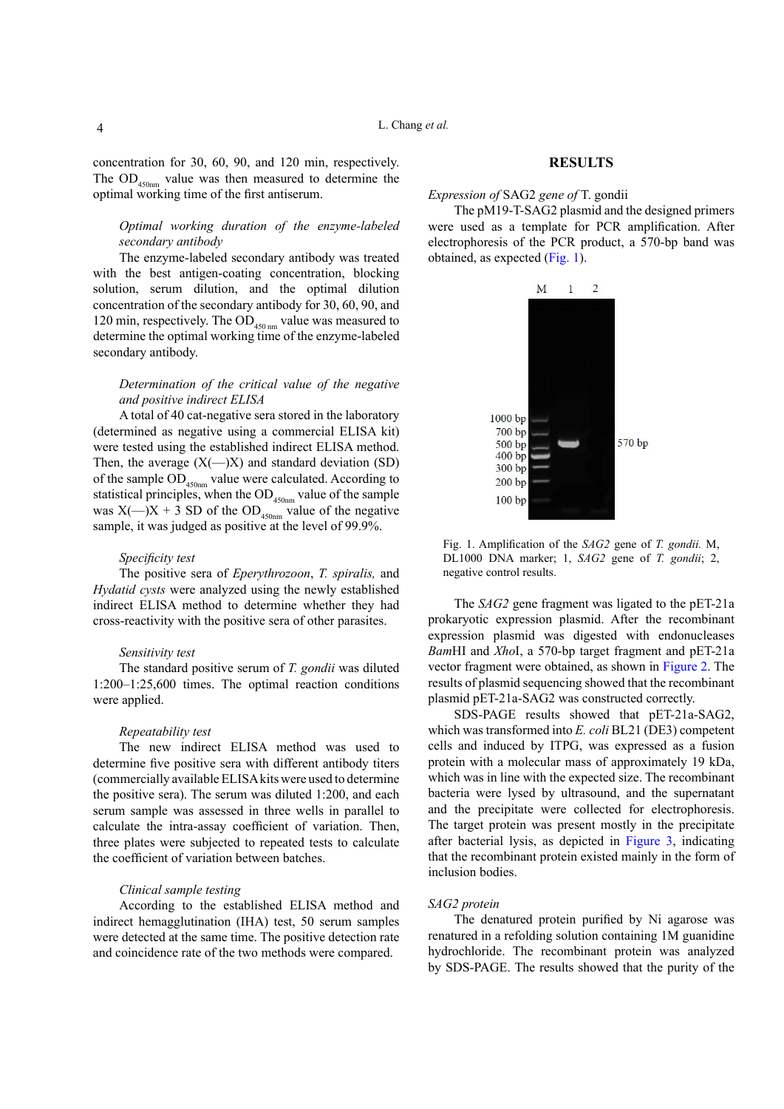concentration for 30, 60, 90, and 120 min, respectively. The  $OD$ <sub>450nm</sub> value was then measured to determine the optimal working time of the first antiserum.

# *Optimal working duration of the enzyme-labeled secondary antibody*

The enzyme-labeled secondary antibody was treated with the best antigen-coating concentration, blocking solution, serum dilution, and the optimal dilution concentration of the secondary antibody for 30, 60, 90, and 120 min, respectively. The  $OD$ <sub>450 nm</sub> value was measured to determine the optimal working time of the enzyme-labeled secondary antibody.

# *Determination of the critical value of the negative and positive indirect ELISA*

A total of 40 cat-negative sera stored in the laboratory (determined as negative using a commercial ELISA kit) were tested using the established indirect ELISA method. Then, the average  $(X(-)X)$  and standard deviation (SD) of the sample OD<sub>450nm</sub> value were calculated. According to statistical principles, when the  $OD$ <sub>450nm</sub> value of the sample was  $X(-)X + 3$  SD of the OD<sub>450nm</sub> value of the negative sample, it was judged as positive at the level of 99.9%.

#### *Specificity test*

The positive sera of *Eperythrozoon*, *T. spiralis,* and *Hydatid cysts* were analyzed using the newly established indirect ELISA method to determine whether they had cross-reactivity with the positive sera of other parasites.

#### *Sensitivity test*

The standard positive serum of *T. gondii* was diluted 1:200–1:25,600 times. The optimal reaction conditions were applied.

## *Repeatability test*

The new indirect ELISA method was used to determine five positive sera with different antibody titers (commercially available ELISA kits were used to determine the positive sera). The serum was diluted 1:200, and each serum sample was assessed in three wells in parallel to calculate the intra-assay coefficient of variation. Then, three plates were subjected to repeated tests to calculate the coefficient of variation between batches.

#### *Clinical sample testing*

According to the established ELISA method and indirect hemagglutination (IHA) test, 50 serum samples were detected at the same time. The positive detection rate and coincidence rate of the two methods were compared.

#### **RESULTS**

*Expression of* SAG2 *gene of* T. gondii

The pM19-T-SAG2 plasmid and the designed primers were used as a template for PCR amplification. After electrophoresis of the PCR product, a 570-bp band was obtained, as expected ([Fig. 1](#page-3-0)).



<span id="page-3-0"></span>Fig. 1. Amplification of the *SAG2* gene of *T. gondii.* M, DL1000 DNA marker; 1, *SAG2* gene of *T. gondii*; 2, negative control results.

The *SAG2* gene fragment was ligated to the pET-21a prokaryotic expression plasmid. After the recombinant expression plasmid was digested with endonucleases *Bam*HI and *Xho*I, a 570-bp target fragment and pET-21a vector fragment were obtained, as shown in [Figure 2](#page-4-0). The results of plasmid sequencing showed that the recombinant plasmid pET-21a-SAG2 was constructed correctly.

SDS-PAGE results showed that pET-21a-SAG2, which was transformed into *E. coli* BL21 (DE3) competent cells and induced by ITPG, was expressed as a fusion protein with a molecular mass of approximately 19 kDa, which was in line with the expected size. The recombinant bacteria were lysed by ultrasound, and the supernatant and the precipitate were collected for electrophoresis. The target protein was present mostly in the precipitate after bacterial lysis, as depicted in [Figure 3,](#page-4-1) indicating that the recombinant protein existed mainly in the form of inclusion bodies.

#### *SAG2 protein*

The denatured protein purified by Ni agarose was renatured in a refolding solution containing 1M guanidine hydrochloride. The recombinant protein was analyzed by SDS-PAGE. The results showed that the purity of the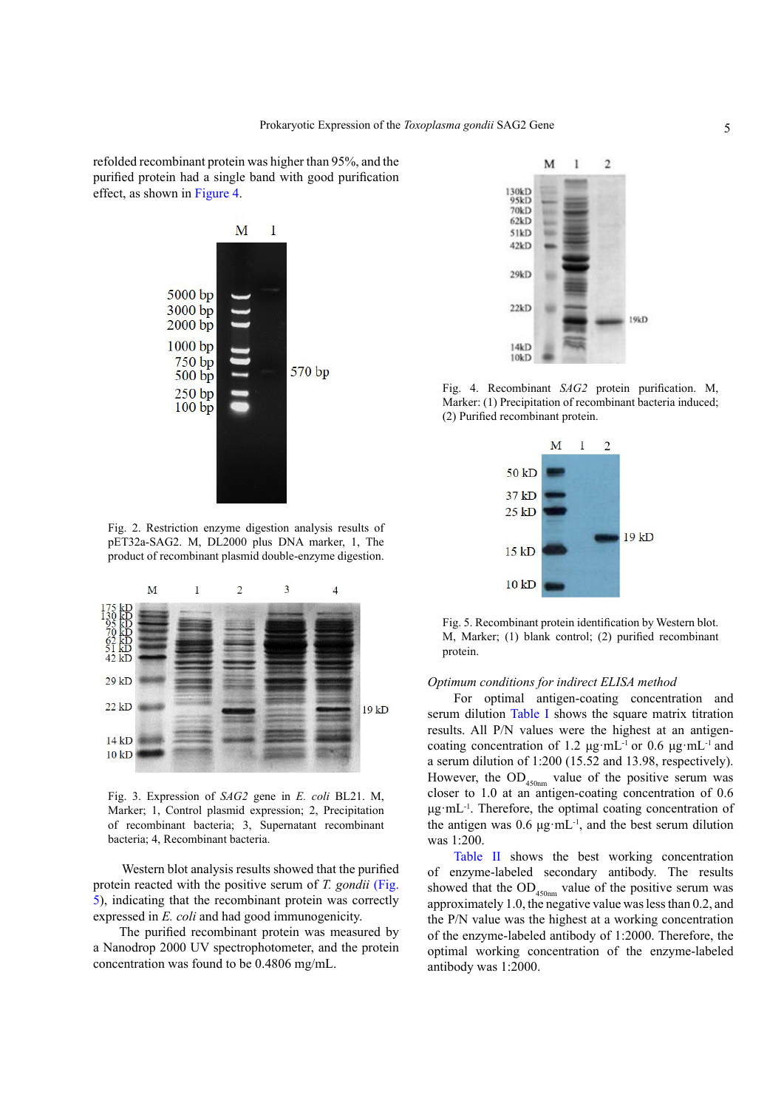refolded recombinant protein was higher than 95%, and the purified protein had a single band with good purification effect, as shown in [Figure 4.](#page-4-2)



<span id="page-4-0"></span>Fig. 2. Restriction enzyme digestion analysis results of pET32a-SAG2. M, DL2000 plus DNA marker, 1, The product of recombinant plasmid double-enzyme digestion.



<span id="page-4-1"></span>Fig. 3. Expression of *SAG2* gene in *E. coli* BL21. M, Marker; 1, Control plasmid expression; 2, Precipitation of recombinant bacteria; 3, Supernatant recombinant bacteria; 4, Recombinant bacteria.

 Western blot analysis results showed that the purified protein reacted with the positive serum of *T. gondii* [\(Fig.](#page-4-3) [5\)](#page-4-3), indicating that the recombinant protein was correctly expressed in *E. coli* and had good immunogenicity.

The purified recombinant protein was measured by a Nanodrop 2000 UV spectrophotometer, and the protein concentration was found to be 0.4806 mg/mL.



<span id="page-4-2"></span>Fig. 4. Recombinant *SAG2* protein purification. M, Marker: (1) Precipitation of recombinant bacteria induced; (2) Purified recombinant protein.



<span id="page-4-3"></span>Fig. 5. Recombinant protein identification by Western blot. M, Marker; (1) blank control; (2) purified recombinant protein.

## *Optimum conditions for indirect ELISA method*

For optimal antigen-coating concentration and serum dilution [Table I](#page-5-0) shows the square matrix titration results. All P/N values were the highest at an antigencoating concentration of 1.2 μg·mL<sup>-1</sup> or 0.6 μg·mL<sup>-1</sup> and a serum dilution of 1:200 (15.52 and 13.98, respectively). However, the  $OD_{450nm}$  value of the positive serum was closer to 1.0 at an antigen-coating concentration of 0.6  $\mu$ g·mL<sup>-1</sup>. Therefore, the optimal coating concentration of the antigen was 0.6 μg·mL-1, and the best serum dilution was 1:200.

[Table II](#page-5-1) shows the best working concentration of enzyme-labeled secondary antibody. The results showed that the  $OD_{450nm}$  value of the positive serum was approximately 1.0, the negative value was less than 0.2, and the P/N value was the highest at a working concentration of the enzyme-labeled antibody of 1:2000. Therefore, the optimal working concentration of the enzyme-labeled antibody was 1:2000.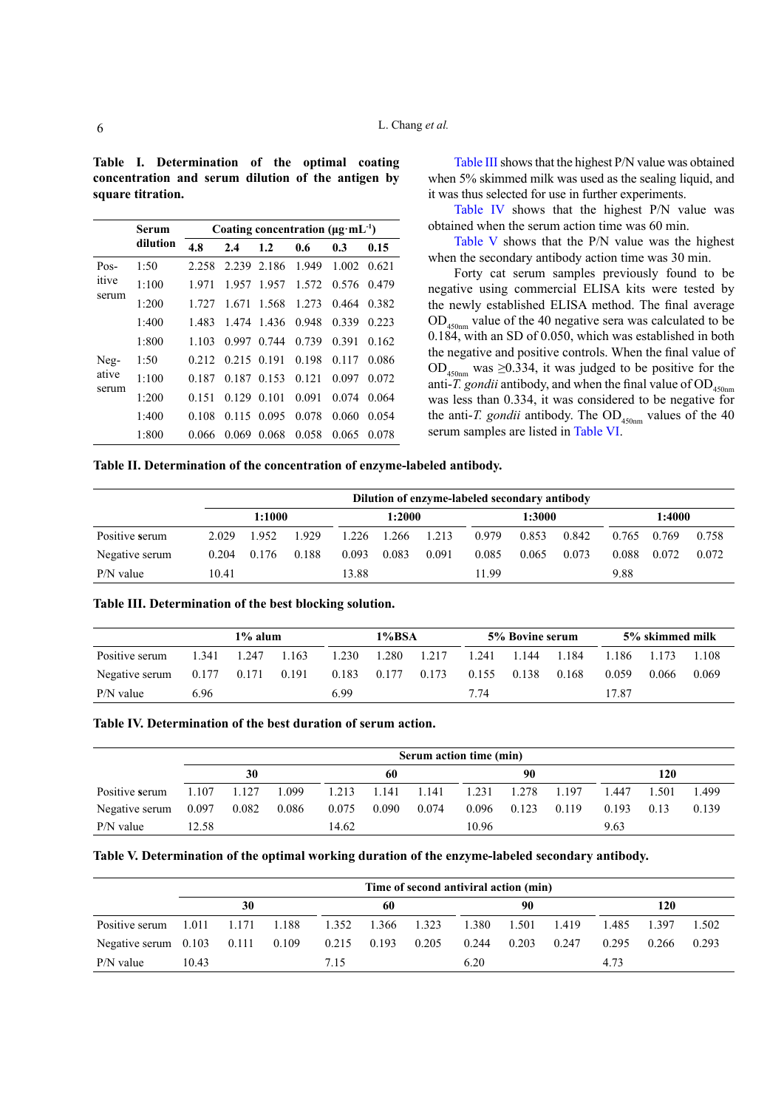<span id="page-5-0"></span>**Table I. Determination of the optimal coating concentration and serum dilution of the antigen by square titration.**

|       | Serum    |       | Coating concentration ( $\mu$ g·mL <sup>-1</sup> ) |             |       |       |       |  |  |  |
|-------|----------|-------|----------------------------------------------------|-------------|-------|-------|-------|--|--|--|
|       | dilution | 4.8   | 2.4                                                | 1.2         | 0.6   | 0.3   | 0.15  |  |  |  |
| Pos-  | 1:50     | 2.258 | 2.239                                              | 2.186       | 1.949 | 1.002 | 0.621 |  |  |  |
| itive | 1:100    | 1.971 | 1.957                                              | 1.957       | 1.572 | 0.576 | 0.479 |  |  |  |
| serum | 1:200    | 1.727 | 1.671                                              | 1.568       | 1.273 | 0.464 | 0.382 |  |  |  |
|       | 1:400    | 1.483 | 1.474                                              | 1.436       | 0.948 | 0.339 | 0.223 |  |  |  |
|       | 1:800    | 1.103 | 0.997                                              | 0.744       | 0.739 | 0.391 | 0.162 |  |  |  |
| Neg-  | 1:50     | 0.212 |                                                    | 0.215 0.191 | 0.198 | 0.117 | 0.086 |  |  |  |
| ative | 1:100    | 0.187 | 0.187                                              | 0.153       | 0.121 | 0.097 | 0.072 |  |  |  |
| serum | 1:200    | 0.151 | 0.129                                              | 0.101       | 0.091 | 0.074 | 0.064 |  |  |  |
|       | 1:400    | 0.108 | 0.115                                              | 0.095       | 0.078 | 0.060 | 0.054 |  |  |  |
|       | 1:800    | 0.066 | 0.069                                              | 0.068       | 0.058 | 0.065 | 0.078 |  |  |  |
|       |          |       |                                                    |             |       |       |       |  |  |  |

[Table III](#page-5-2) shows that the highest P/N value was obtained when 5% skimmed milk was used as the sealing liquid, and it was thus selected for use in further experiments.

[Table IV](#page-5-3) shows that the highest P/N value was obtained when the serum action time was 60 min.

[Table V](#page-5-4) shows that the P/N value was the highest when the secondary antibody action time was 30 min.

Forty cat serum samples previously found to be negative using commercial ELISA kits were tested by the newly established ELISA method. The final average  $OD_{450nm}$  value of the 40 negative sera was calculated to be 0.184, with an SD of 0.050, which was established in both the negative and positive controls. When the final value of OD<sub>450nm</sub> was ≥0.334, it was judged to be positive for the anti-*T. gondii* antibody, and when the final value of  $OD$ <sub>450nm</sub> was less than 0.334, it was considered to be negative for the anti-*T. gondii* antibody. The  $OD_{450nm}$  values of the 40 serum samples are listed in [Table VI.](#page-6-0)

<span id="page-5-1"></span>**Table II. Determination of the concentration of enzyme-labeled antibody.**

|                | Dilution of enzyme-labeled secondary antibody |        |       |       |        |       |       |        |       |       |        |       |
|----------------|-----------------------------------------------|--------|-------|-------|--------|-------|-------|--------|-------|-------|--------|-------|
|                |                                               | 1:1000 |       |       | 1:2000 |       |       | 1:3000 |       |       | 1:4000 |       |
| Positive serum | 2.029                                         | 1952   | 1.929 | 1.226 | 1.266  | 1.213 | 0.979 | 0.853  | 0.842 | 0.765 | 0.769  | 0.758 |
| Negative serum | 0.204                                         | 0.176  | 0.188 | 0.093 | 0.083  | 0.091 | 0.085 | 0.065  | 0.073 | 0.088 | 0.072  | 0.072 |
| $P/N$ value    | 10.41                                         |        |       | 13.88 |        |       | 11 99 |        |       | 9.88  |        |       |

<span id="page-5-2"></span>

| Table III. Determination of the best blocking solution. |  |  |
|---------------------------------------------------------|--|--|
|                                                         |  |  |

|                |       | $1\%$ alum      |       |       | 1%BSA |       |       | 5% Bovine serum |       |       | 5% skimmed milk |       |
|----------------|-------|-----------------|-------|-------|-------|-------|-------|-----------------|-------|-------|-----------------|-------|
| Positive serum | 1 341 | 1.247           | 1.163 | 1.230 | 1.280 | 1.217 | 1.241 | 1.144           | 1.184 | 1.186 | 1.173           | 1.108 |
| Negative serum | 0.177 | $0.171$ $0.191$ |       | 0.183 | 0.177 | 0.173 | 0.155 | 0.138           | 0.168 | 0.059 | 0.066           | 0.069 |
| $P/N$ value    | 6.96  |                 |       | 6.99  |       |       | 7 74  |                 |       | 17.87 |                 |       |

<span id="page-5-3"></span>**Table IV. Determination of the best duration of serum action.**

|                                |       | Serum action time (min) |       |       |             |       |       |             |       |       |       |       |
|--------------------------------|-------|-------------------------|-------|-------|-------------|-------|-------|-------------|-------|-------|-------|-------|
|                                |       | 30                      |       |       | 60          |       |       | 90          |       |       | 120   |       |
| Positive serum                 | 1.107 | 1.127                   | 1.099 | 1.213 | 1.141 1.141 |       | 1.231 | 1.278 1.197 |       | 1.447 | 1.501 | 1.499 |
| Negative serum $0.097$ $0.082$ |       |                         | 0.086 | 0.075 | 0.090       | 0.074 | 0.096 | 0.123       | 0.119 | 0.193 | 0.13  | 0.139 |
| $P/N$ value                    | 12.58 |                         |       | 14.62 |             |       | 10.96 |             |       | 9.63  |       |       |

<span id="page-5-4"></span>

|  | Table V. Determination of the optimal working duration of the enzyme-labeled secondary antibody. |  |  |
|--|--------------------------------------------------------------------------------------------------|--|--|
|--|--------------------------------------------------------------------------------------------------|--|--|

|                                                    |       | Time of second antiviral action (min) |       |                   |    |  |       |       |       |       |       |       |
|----------------------------------------------------|-------|---------------------------------------|-------|-------------------|----|--|-------|-------|-------|-------|-------|-------|
|                                                    |       | 30                                    |       |                   | 60 |  |       | 90    |       |       | 120   |       |
| Positive serum $1.011$ $1.171$                     |       |                                       | 1.188 | 1.352 1.366 1.323 |    |  | 1.380 | 1.501 | 1.419 | 1.485 | 1.397 | 1.502 |
| Negative serum 0.103 0.111 0.109 0.215 0.193 0.205 |       |                                       |       |                   |    |  | 0.244 | 0.203 | 0.247 | 0.295 | 0.266 | 0.293 |
| $P/N$ value                                        | 10.43 |                                       |       | 7.15              |    |  | 6.20  |       |       | 4.73  |       |       |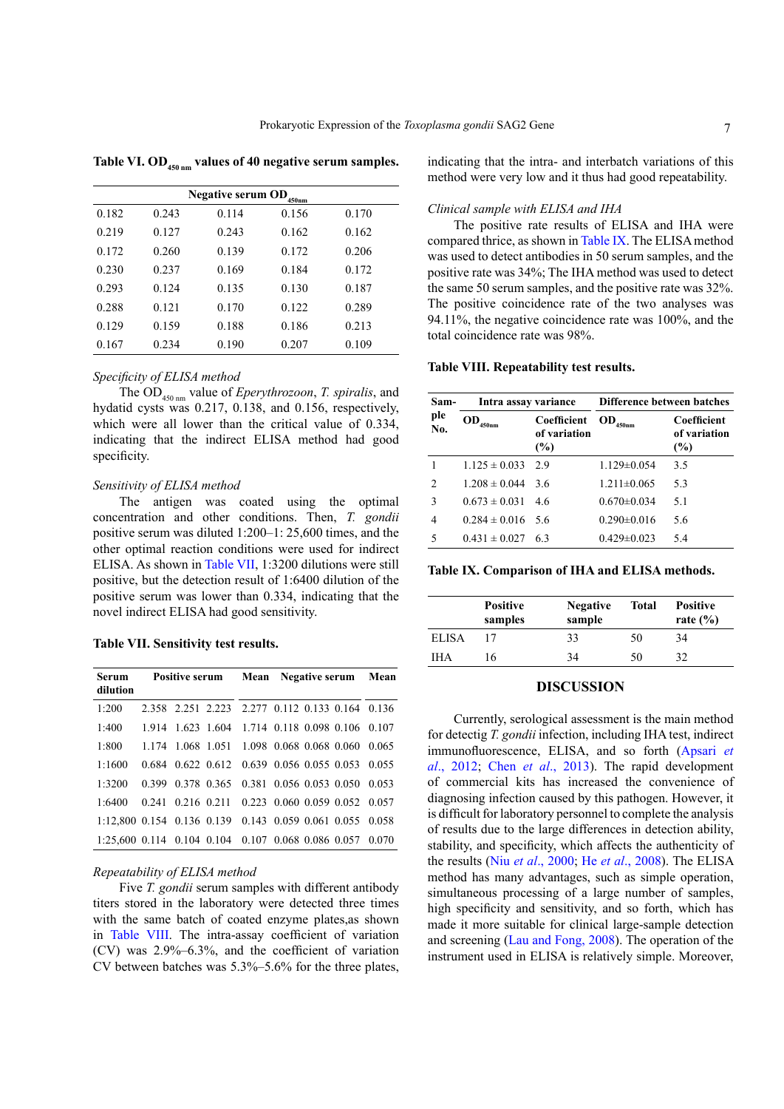<span id="page-6-0"></span>Table VI. OD<sub>450 nm</sub> values of 40 negative serum samples.

|       |       | Negative serum $OD$ <sub>450nm</sub> |       |       |
|-------|-------|--------------------------------------|-------|-------|
| 0.182 | 0.243 | 0.114                                | 0.156 | 0.170 |
| 0.219 | 0.127 | 0.243                                | 0.162 | 0.162 |
| 0.172 | 0.260 | 0.139                                | 0.172 | 0.206 |
| 0.230 | 0.237 | 0.169                                | 0.184 | 0.172 |
| 0.293 | 0.124 | 0.135                                | 0.130 | 0.187 |
| 0.288 | 0.121 | 0.170                                | 0.122 | 0.289 |
| 0.129 | 0.159 | 0.188                                | 0.186 | 0.213 |
| 0.167 | 0.234 | 0.190                                | 0.207 | 0.109 |

## *Specificity of ELISA method*

The OD450 nm value of *Eperythrozoon*, *T. spiralis*, and hydatid cysts was 0.217, 0.138, and 0.156, respectively, which were all lower than the critical value of 0.334, indicating that the indirect ELISA method had good specificity.

# *Sensitivity of ELISA method*

The antigen was coated using the optimal concentration and other conditions. Then, *T. gondii* positive serum was diluted 1:200–1: 25,600 times, and the other optimal reaction conditions were used for indirect ELISA. As shown in [Table VII,](#page-6-1) 1:3200 dilutions were still positive, but the detection result of 1:6400 dilution of the positive serum was lower than 0.334, indicating that the novel indirect ELISA had good sensitivity.

<span id="page-6-1"></span>**Table VII. Sensitivity test results.**

| <b>Serum</b><br>dilution | <b>Positive serum</b> Mean Negative serum Mean           |  |  |  |
|--------------------------|----------------------------------------------------------|--|--|--|
| 1:200                    | 2.358 2.251 2.223 2.277 0.112 0.133 0.164 0.136          |  |  |  |
| 1:400                    | 1.914 1.623 1.604 1.714 0.118 0.098 0.106 0.107          |  |  |  |
| 1:800                    | 1.174 1.068 1.051 1.098 0.068 0.068 0.060 0.065          |  |  |  |
| 1:1600                   | 0.684 0.622 0.612 0.639 0.056 0.055 0.053 0.055          |  |  |  |
| 1:3200                   | 0.399 0.378 0.365 0.381 0.056 0.053 0.050 0.053          |  |  |  |
| 1:6400                   | 0.241 0.216 0.211 0.223 0.060 0.059 0.052 0.057          |  |  |  |
|                          | 1:12.800 0.154 0.136 0.139 0.143 0.059 0.061 0.055 0.058 |  |  |  |
|                          | 1:25,600 0.114 0.104 0.104 0.107 0.068 0.086 0.057 0.070 |  |  |  |

## *Repeatability of ELISA method*

Five *T. gondii* serum samples with different antibody titers stored in the laboratory were detected three times with the same batch of coated enzyme plates,as shown in [Table VIII](#page-6-2). The intra-assay coefficient of variation (CV) was 2.9%–6.3%, and the coefficient of variation CV between batches was 5.3%–5.6% for the three plates, indicating that the intra- and interbatch variations of this method were very low and it thus had good repeatability.

## *Clinical sample with ELISA and IHA*

The positive rate results of ELISA and IHA were compared thrice, as shown in [Table IX.](#page-5-3) The ELISA method was used to detect antibodies in 50 serum samples, and the positive rate was 34%; The IHA method was used to detect the same 50 serum samples, and the positive rate was 32%. The positive coincidence rate of the two analyses was 94.11%, the negative coincidence rate was 100%, and the total coincidence rate was 98%.

## <span id="page-6-2"></span>**Table VIII. Repeatability test results.**

| Sam-           | Intra assay variance    |                                       |                                   | Difference between batches         |  |  |  |  |
|----------------|-------------------------|---------------------------------------|-----------------------------------|------------------------------------|--|--|--|--|
| ple<br>No.     | OD<br>$450 \mathrm{nm}$ | Coefficient<br>of variation<br>$(\%)$ | $\mathbf{OD}_{_{450\mathrm{nm}}}$ | Coefficient<br>of variation<br>(%) |  |  |  |  |
|                | $1.125 \pm 0.033$       | 2.9                                   | $1.129 \pm 0.054$                 | 3.5                                |  |  |  |  |
| $\overline{c}$ | $1.208 \pm 0.044$       | 36                                    | $1.211 \pm 0.065$                 | 5.3                                |  |  |  |  |
| 3              | $0.673 \pm 0.031$       | 4.6                                   | $0.670 \pm 0.034$                 | 5.1                                |  |  |  |  |
| 4              | $0.284 \pm 0.016$       | 5.6                                   | $0.290 \pm 0.016$                 | 5.6                                |  |  |  |  |
| 5              | $0.431 \pm 0.027$       | 63                                    | $0.429 \pm 0.023$                 | 5.4                                |  |  |  |  |

|  |  |  | Table IX. Comparison of IHA and ELISA methods. |
|--|--|--|------------------------------------------------|
|--|--|--|------------------------------------------------|

|              | <b>Positive</b><br>samples | <b>Negative</b><br>sample | Total | <b>Positive</b><br>rate $(\% )$ |
|--------------|----------------------------|---------------------------|-------|---------------------------------|
| <b>ELISA</b> |                            | 33                        | 50    | 34                              |
| <b>IHA</b>   | 16                         | 34                        | 50    | 32                              |

# **DISCUSSION**

Currently, serological assessment is the main method for detectig *T. gondii* infection, including IHA test, indirect immunofluorescence, ELISA, and so forth ([Apsari](#page-7-1) *et al*[., 2012;](#page-7-1) Chen *et al*[., 2013\)](#page-7-2). The rapid development of commercial kits has increased the convenience of diagnosing infection caused by this pathogen. However, it is difficult for laboratory personnel to complete the analysis of results due to the large differences in detection ability, stability, and specificity, which affects the authenticity of the results (Niu *et al*[., 2000](#page-8-20); He *et al*[., 2008](#page-8-21)). The ELISA method has many advantages, such as simple operation, simultaneous processing of a large number of samples, high specificity and sensitivity, and so forth, which has made it more suitable for clinical large-sample detection and screening [\(Lau and Fong, 2008](#page-8-19)). The operation of the instrument used in ELISA is relatively simple. Moreover,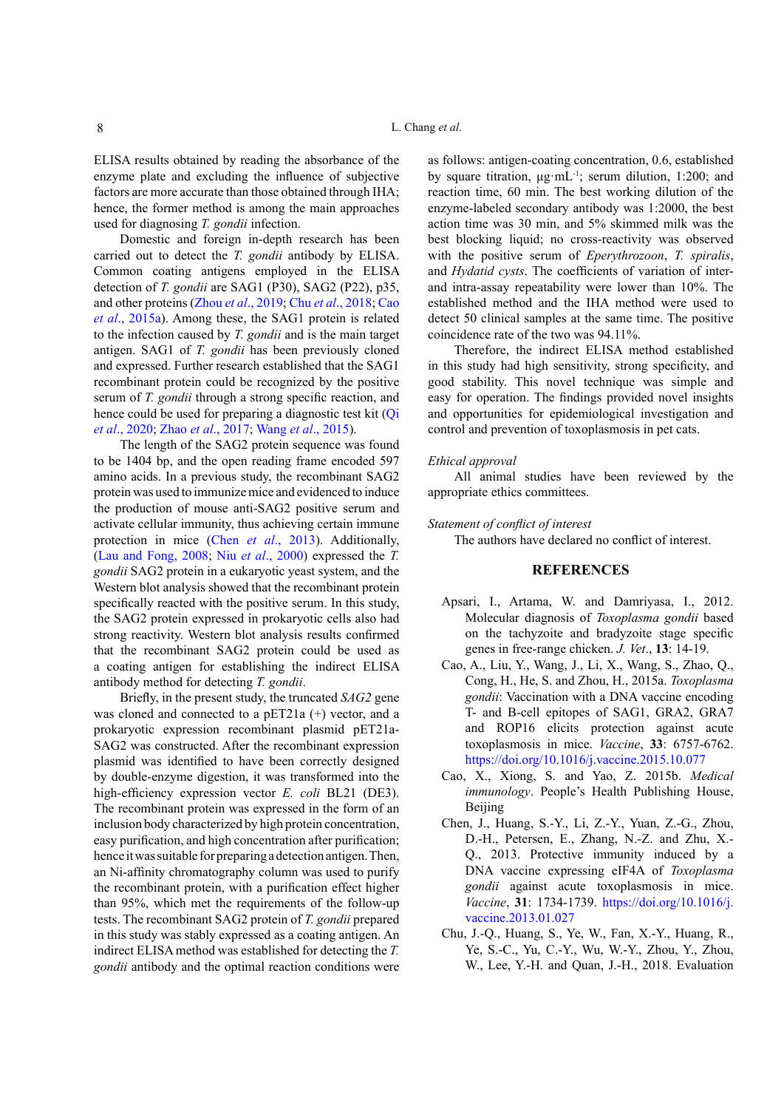ELISA results obtained by reading the absorbance of the enzyme plate and excluding the influence of subjective factors are more accurate than those obtained through IHA; hence, the former method is among the main approaches used for diagnosing *T. gondii* infection.

Domestic and foreign in-depth research has been carried out to detect the *T. gondii* antibody by ELISA. Common coating antigens employed in the ELISA detection of *T. gondii* are SAG1 (P30), SAG2 (P22), p35, and other proteins (Zhou *et al*[., 2019;](#page-9-1) Chu *et al*[., 2018](#page-7-3); [Cao](#page-7-4) *et al*[., 2015a](#page-7-4)). Among these, the SAG1 protein is related to the infection caused by *T. gondii* and is the main target antigen. SAG1 of *T. gondii* has been previously cloned and expressed. Further research established that the SAG1 recombinant protein could be recognized by the positive serum of *T. gondii* through a strong specific reaction, and hence could be used for preparing a diagnostic test kit (Oi *et al*[., 2020](#page-8-22); Zhao *et al*[., 2017;](#page-9-2) Wang *et al*[., 2015](#page-8-23)).

The length of the SAG2 protein sequence was found to be 1404 bp, and the open reading frame encoded 597 amino acids. In a previous study, the recombinant SAG2 protein was used to immunize mice and evidenced to induce the production of mouse anti-SAG2 positive serum and activate cellular immunity, thus achieving certain immune protection in mice (Chen *et al*[., 2013\)](#page-7-2). Additionally, ([Lau and Fong](#page-8-19), 2008; Niu *et al*[., 2000](#page-8-20)) expressed the *T. gondii* SAG2 protein in a eukaryotic yeast system, and the Western blot analysis showed that the recombinant protein specifically reacted with the positive serum. In this study, the SAG2 protein expressed in prokaryotic cells also had strong reactivity. Western blot analysis results confirmed that the recombinant SAG2 protein could be used as a coating antigen for establishing the indirect ELISA antibody method for detecting *T. gondii*.

Briefly, in the present study, the truncated *SAG2* gene was cloned and connected to a pET21a (+) vector, and a prokaryotic expression recombinant plasmid pET21a-SAG2 was constructed. After the recombinant expression plasmid was identified to have been correctly designed by double-enzyme digestion, it was transformed into the high-efficiency expression vector *E. coli* BL21 (DE3). The recombinant protein was expressed in the form of an inclusion body characterized by high protein concentration, easy purification, and high concentration after purification; hence it was suitable for preparing a detection antigen. Then, an Ni-affinity chromatography column was used to purify the recombinant protein, with a purification effect higher than 95%, which met the requirements of the follow-up tests. The recombinant SAG2 protein of *T. gondii* prepared in this study was stably expressed as a coating antigen. An indirect ELISA method was established for detecting the *T. gondii* antibody and the optimal reaction conditions were as follows: antigen-coating concentration, 0.6, established by square titration, μg·mL-1; serum dilution, 1:200; and reaction time, 60 min. The best working dilution of the enzyme-labeled secondary antibody was 1:2000, the best action time was 30 min, and 5% skimmed milk was the best blocking liquid; no cross-reactivity was observed with the positive serum of *Eperythrozoon*, *T. spiralis*, and *Hydatid cysts*. The coefficients of variation of interand intra-assay repeatability were lower than 10%. The established method and the IHA method were used to detect 50 clinical samples at the same time. The positive coincidence rate of the two was 94.11%.

Therefore, the indirect ELISA method established in this study had high sensitivity, strong specificity, and good stability. This novel technique was simple and easy for operation. The findings provided novel insights and opportunities for epidemiological investigation and control and prevention of toxoplasmosis in pet cats.

#### *Ethical approval*

All animal studies have been reviewed by the appropriate ethics committees.

*Statement of conflict of interest*

The authors have declared no conflict of interest.

# **REFERENCES**

- <span id="page-7-1"></span>Apsari, I., Artama, W. and Damriyasa, I., 2012. Molecular diagnosis of *Toxoplasma gondii* based on the tachyzoite and bradyzoite stage specific genes in free-range chicken. *J. Vet*., **13**: 14-19.
- <span id="page-7-4"></span>Cao, A., Liu, Y., Wang, J., Li, X., Wang, S., Zhao, Q., Cong, H., He, S. and Zhou, H., 2015a. *Toxoplasma gondii*: Vaccination with a DNA vaccine encoding T- and B-cell epitopes of SAG1, GRA2, GRA7 and ROP16 elicits protection against acute toxoplasmosis in mice. *Vaccine*, **33**: 6757-6762. <https://doi.org/10.1016/j.vaccine.2015.10.077>
- <span id="page-7-0"></span>Cao, X., Xiong, S. and Yao, Z. 2015b. *Medical immunology*. People's Health Publishing House, Beijing
- <span id="page-7-2"></span>Chen, J., Huang, S.-Y., Li, Z.-Y., Yuan, Z.-G., Zhou, D.-H., Petersen, E., Zhang, N.-Z. and Zhu, X.- Q., 2013. Protective immunity induced by a DNA vaccine expressing eIF4A of *Toxoplasma gondii* against acute toxoplasmosis in mice. *Vaccine*, **31**: 1734-1739. [https://doi.org/10.1016/j.](https://doi.org/10.1016/j.vaccine.2013.01.027) [vaccine.2013.01.027](https://doi.org/10.1016/j.vaccine.2013.01.027)
- <span id="page-7-3"></span>Chu, J.-Q., Huang, S., Ye, W., Fan, X.-Y., Huang, R., Ye, S.-C., Yu, C.-Y., Wu, W.-Y., Zhou, Y., Zhou, W., Lee, Y.-H. and Quan, J.-H., 2018. Evaluation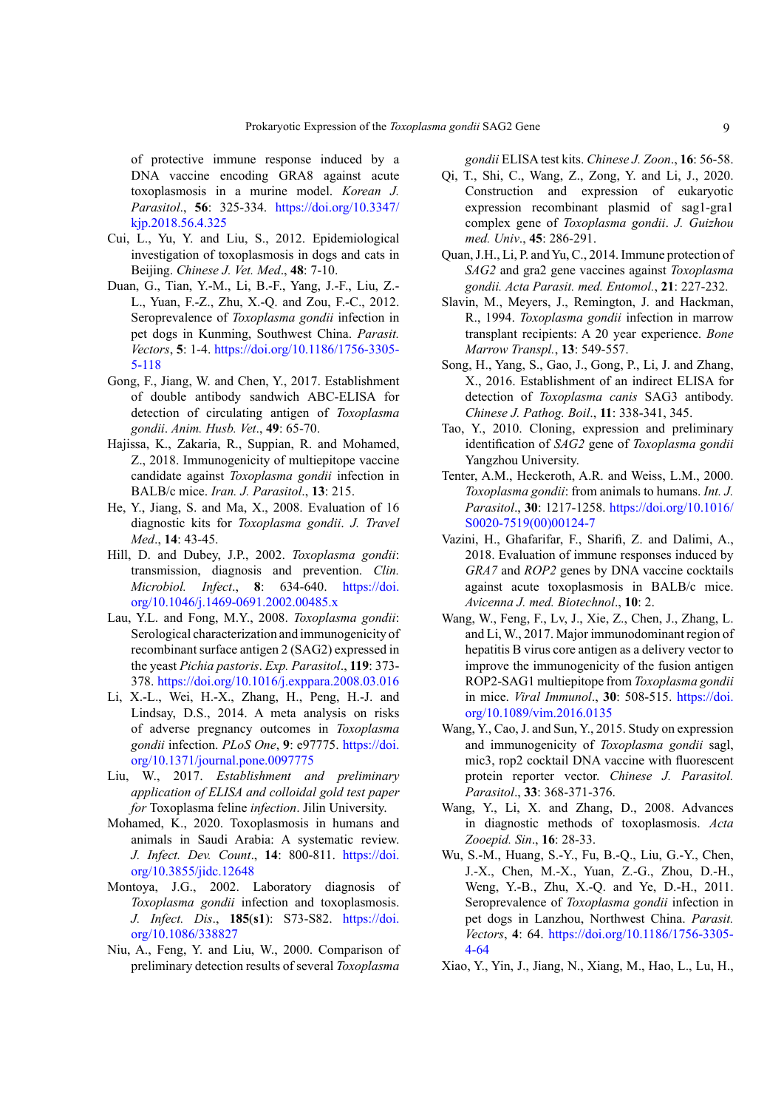of protective immune response induced by a DNA vaccine encoding GRA8 against acute toxoplasmosis in a murine model. *Korean J. Parasitol*., **56**: 325-334. [https://doi.org/10.3347/](https://doi.org/10.3347/kjp.2018.56.4.325) [kjp.2018.56.4.325](https://doi.org/10.3347/kjp.2018.56.4.325)

- <span id="page-8-10"></span>Cui, L., Yu, Y. and Liu, S., 2012. Epidemiological investigation of toxoplasmosis in dogs and cats in Beijing. *Chinese J. Vet. Med*., **48**: 7-10.
- <span id="page-8-9"></span>Duan, G., Tian, Y.-M., Li, B.-F., Yang, J.-F., Liu, Z.- L., Yuan, F.-Z., Zhu, X.-Q. and Zou, F.-C., 2012. Seroprevalence of *Toxoplasma gondii* infection in pet dogs in Kunming, Southwest China. *Parasit. Vectors*, **5**: 1-4. [https://doi.org/10.1186/1756-3305-](https://doi.org/10.1186/1756-3305-5-118) [5-118](https://doi.org/10.1186/1756-3305-5-118)
- <span id="page-8-16"></span>Gong, F., Jiang, W. and Chen, Y., 2017. Establishment of double antibody sandwich ABC-ELISA for detection of circulating antigen of *Toxoplasma gondii*. *Anim. Husb. Vet*., **49**: 65-70.
- <span id="page-8-12"></span>Hajissa, K., Zakaria, R., Suppian, R. and Mohamed, Z., 2018. Immunogenicity of multiepitope vaccine candidate against *Toxoplasma gondii* infection in BALB/c mice. *Iran. J. Parasitol*., **13**: 215.
- <span id="page-8-21"></span>He, Y., Jiang, S. and Ma, X., 2008. Evaluation of 16 diagnostic kits for *Toxoplasma gondii*. *J. Travel Med*., **14**: 43-45.
- <span id="page-8-8"></span>Hill, D. and Dubey, J.P., 2002. *Toxoplasma gondii*: transmission, diagnosis and prevention. *Clin. Microbiol. Infect*., **8**: 634-640. [https://doi.](https://doi.org/10.1046/j.1469-0691.2002.00485.x) [org/10.1046/j.1469-0691.2002.00485.x](https://doi.org/10.1046/j.1469-0691.2002.00485.x)
- <span id="page-8-19"></span>Lau, Y.L. and Fong, M.Y., 2008. *Toxoplasma gondii*: Serological characterization and immunogenicity of recombinant surface antigen 2 (SAG2) expressed in the yeast *Pichia pastoris*. *Exp. Parasitol*., **119**: 373- 378. <https://doi.org/10.1016/j.exppara.2008.03.016>
- <span id="page-8-5"></span>Li, X.-L., Wei, H.-X., Zhang, H., Peng, H.-J. and Lindsay, D.S., 2014. A meta analysis on risks of adverse pregnancy outcomes in *Toxoplasma gondii* infection. *PLoS One*, **9**: e97775. [https://doi.](https://doi.org/10.1371/journal.pone.0097775) [org/10.1371/journal.pone.0097775](https://doi.org/10.1371/journal.pone.0097775)
- <span id="page-8-14"></span>Liu, W., 2017. *Establishment and preliminary application of ELISA and colloidal gold test paper for* Toxoplasma feline *infection*. Jilin University.
- <span id="page-8-2"></span>Mohamed, K., 2020. Toxoplasmosis in humans and animals in Saudi Arabia: A systematic review. *J. Infect. Dev. Count*., **14**: 800-811. [https://doi.](https://doi.org/10.3855/jidc.12648) [org/10.3855/jidc.12648](https://doi.org/10.3855/jidc.12648)
- <span id="page-8-1"></span>Montoya, J.G., 2002. Laboratory diagnosis of *Toxoplasma gondii* infection and toxoplasmosis. *J. Infect. Dis*., **185**(**s1**): S73-S82. [https://doi.](https://doi.org/10.1086/338827) [org/10.1086/338827](https://doi.org/10.1086/338827)
- <span id="page-8-20"></span>Niu, A., Feng, Y. and Liu, W., 2000. Comparison of preliminary detection results of several *Toxoplasma*

<span id="page-8-22"></span>*gondii* ELISA test kits. *Chinese J. Zoon*., **16**: 56-58.

- Qi, T., Shi, C., Wang, Z., Zong, Y. and Li, J., 2020. Construction and expression of eukaryotic expression recombinant plasmid of sag1-gra1 complex gene of *Toxoplasma gondii*. *J. Guizhou med. Univ*., **45**: 286-291.
- <span id="page-8-18"></span>Quan, J.H., Li, P. and Yu, C., 2014. Immune protection of *SAG2* and gra2 gene vaccines against *Toxoplasma gondii. Acta Parasit. med. Entomol.*, **21**: 227-232.
- <span id="page-8-3"></span>Slavin, M., Meyers, J., Remington, J. and Hackman, R., 1994. *Toxoplasma gondii* infection in marrow transplant recipients: A 20 year experience. *Bone Marrow Transpl.*, **13**: 549-557.
- <span id="page-8-15"></span>Song, H., Yang, S., Gao, J., Gong, P., Li, J. and Zhang, X., 2016. Establishment of an indirect ELISA for detection of *Toxoplasma canis* SAG3 antibody. *Chinese J. Pathog. Boil*., **11**: 338-341, 345.
- <span id="page-8-17"></span>Tao, Y., 2010. Cloning, expression and preliminary identification of *SAG2* gene of *Toxoplasma gondii*  Yangzhou University.
- <span id="page-8-7"></span>Tenter, A.M., Heckeroth, A.R. and Weiss, L.M., 2000. *Toxoplasma gondii*: from animals to humans. *Int. J. Parasitol*., **30**: 1217-1258. [https://doi.org/10.1016/](https://doi.org/10.1016/S0020-7519(00)00124-7) [S0020-7519\(00\)00124-7](https://doi.org/10.1016/S0020-7519(00)00124-7)
- <span id="page-8-13"></span>Vazini, H., Ghafarifar, F., Sharifi, Z. and Dalimi, A., 2018. Evaluation of immune responses induced by *GRA7* and *ROP2* genes by DNA vaccine cocktails against acute toxoplasmosis in BALB/c mice. *Avicenna J. med. Biotechnol*., **10**: 2.
- <span id="page-8-11"></span>Wang, W., Feng, F., Lv, J., Xie, Z., Chen, J., Zhang, L. and Li, W., 2017. Major immunodominant region of hepatitis B virus core antigen as a delivery vector to improve the immunogenicity of the fusion antigen ROP2-SAG1 multiepitope from *Toxoplasma gondii*  in mice. *Viral Immunol*., **30**: 508-515. [https://doi.](https://doi.org/10.1089/vim.2016.0135) [org/10.1089/vim.2016.0135](https://doi.org/10.1089/vim.2016.0135)
- <span id="page-8-23"></span>Wang, Y., Cao, J. and Sun, Y., 2015. Study on expression and immunogenicity of *Toxoplasma gondii* sagl, mic3, rop2 cocktail DNA vaccine with fluorescent protein reporter vector. *Chinese J. Parasitol. Parasitol*., **33**: 368-371-376.
- <span id="page-8-0"></span>Wang, Y., Li, X. and Zhang, D., 2008. Advances in diagnostic methods of toxoplasmosis. *Acta Zooepid. Sin*., **16**: 28-33.
- <span id="page-8-6"></span>Wu, S.-M., Huang, S.-Y., Fu, B.-Q., Liu, G.-Y., Chen, J.-X., Chen, M.-X., Yuan, Z.-G., Zhou, D.-H., Weng, Y.-B., Zhu, X.-Q. and Ye, D.-H., 2011. Seroprevalence of *Toxoplasma gondii* infection in pet dogs in Lanzhou, Northwest China. *Parasit. Vectors*, **4**: 64. [https://doi.org/10.1186/1756-3305-](https://doi.org/10.1186/1756-3305-4-64) [4-64](https://doi.org/10.1186/1756-3305-4-64)
- <span id="page-8-4"></span>Xiao, Y., Yin, J., Jiang, N., Xiang, M., Hao, L., Lu, H.,